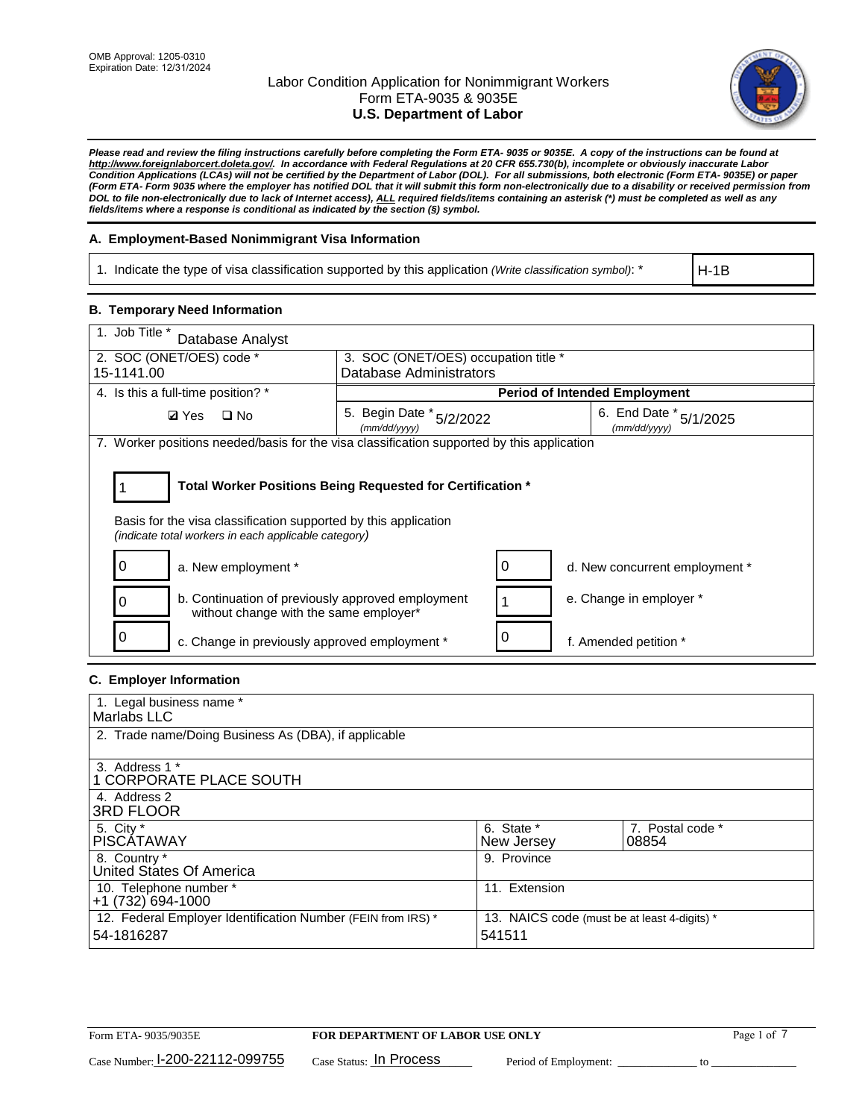

*Please read and review the filing instructions carefully before completing the Form ETA- 9035 or 9035E. A copy of the instructions can be found at http://www.foreignlaborcert.doleta.gov/. In accordance with Federal Regulations at 20 CFR 655.730(b), incomplete or obviously inaccurate Labor Condition Applications (LCAs) will not be certified by the Department of Labor (DOL). For all submissions, both electronic (Form ETA- 9035E) or paper (Form ETA- Form 9035 where the employer has notified DOL that it will submit this form non-electronically due to a disability or received permission from DOL to file non-electronically due to lack of Internet access), ALL required fields/items containing an asterisk (\*) must be completed as well as any fields/items where a response is conditional as indicated by the section (§) symbol.* 

# **A. Employment-Based Nonimmigrant Visa Information**

1. Indicate the type of visa classification supported by this application *(Write classification symbol)*: \*

H-1B

## **B. Temporary Need Information**

| 1. Job Title *<br>Database Analyst                                                                                                                                                    |                                          |  |                                        |  |
|---------------------------------------------------------------------------------------------------------------------------------------------------------------------------------------|------------------------------------------|--|----------------------------------------|--|
| 2. SOC (ONET/OES) code *                                                                                                                                                              | 3. SOC (ONET/OES) occupation title *     |  |                                        |  |
| 15-1141.00                                                                                                                                                                            | Database Administrators                  |  |                                        |  |
| 4. Is this a full-time position? *                                                                                                                                                    |                                          |  | <b>Period of Intended Employment</b>   |  |
| <b>Ø</b> Yes<br>$\Box$ No                                                                                                                                                             | 5. Begin Date * 5/2/2022<br>(mm/dd/yyyy) |  | 6. End Date * 5/1/2025<br>(mm/dd/yyyy) |  |
| 7. Worker positions needed/basis for the visa classification supported by this application                                                                                            |                                          |  |                                        |  |
| Total Worker Positions Being Requested for Certification *<br>Basis for the visa classification supported by this application<br>(indicate total workers in each applicable category) |                                          |  |                                        |  |
| a. New employment *                                                                                                                                                                   |                                          |  | d. New concurrent employment *         |  |
| b. Continuation of previously approved employment<br>without change with the same employer*                                                                                           |                                          |  | e. Change in employer *                |  |
| c. Change in previously approved employment *                                                                                                                                         |                                          |  | f. Amended petition *                  |  |

## **C. Employer Information**

| 1. Legal business name *                                                   |                                                        |                           |
|----------------------------------------------------------------------------|--------------------------------------------------------|---------------------------|
| Marlabs LLC                                                                |                                                        |                           |
| 2. Trade name/Doing Business As (DBA), if applicable                       |                                                        |                           |
| 3. Address 1 *<br>1 CORPORATE PLACE SOUTH<br>4. Address 2                  |                                                        |                           |
| <b>3RD FLOOR</b>                                                           |                                                        |                           |
| 5. City *<br><b>PISCÁTAWAY</b>                                             | 6. State *<br>New Jersey                               | 7. Postal code *<br>08854 |
| 8. Country *<br>United States Of America                                   | 9. Province                                            |                           |
| 10. Telephone number *<br>$+1(732)694-1000$                                | 11. Extension                                          |                           |
| 12. Federal Employer Identification Number (FEIN from IRS) *<br>54-1816287 | 13. NAICS code (must be at least 4-digits) *<br>541511 |                           |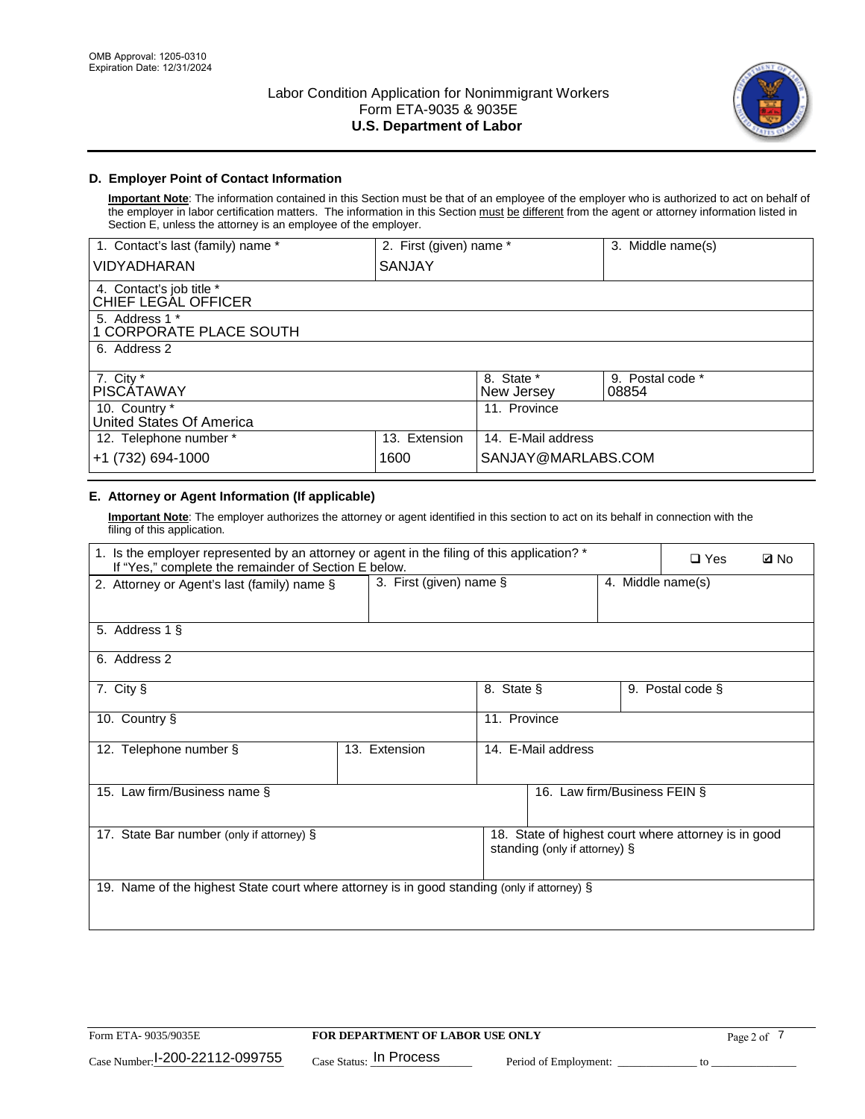

# **D. Employer Point of Contact Information**

**Important Note**: The information contained in this Section must be that of an employee of the employer who is authorized to act on behalf of the employer in labor certification matters. The information in this Section must be different from the agent or attorney information listed in Section E, unless the attorney is an employee of the employer.

| 1. Contact's last (family) name *               | 2. First (given) name * |                          | 3. Middle name(s)         |
|-------------------------------------------------|-------------------------|--------------------------|---------------------------|
| <b>VIDYADHARAN</b>                              | <b>SANJAY</b>           |                          |                           |
| 4. Contact's job title *<br>CHIEF LEGAL OFFICER |                         |                          |                           |
| 5. Address 1 *<br>1 CORPORATE PLACE SOUTH       |                         |                          |                           |
| 6. Address 2                                    |                         |                          |                           |
| 7. City $*$<br><b>PISCATAWAY</b>                |                         | 8. State *<br>New Jersey | 9. Postal code *<br>08854 |
| 10. Country *<br>United States Of America       |                         | 11. Province             |                           |
| 12. Telephone number *                          | 13. Extension           | 14. E-Mail address       |                           |
| +1 (732) 694-1000                               | 1600                    | SANJAY@MARLABS.COM       |                           |

# **E. Attorney or Agent Information (If applicable)**

**Important Note**: The employer authorizes the attorney or agent identified in this section to act on its behalf in connection with the filing of this application.

| 1. Is the employer represented by an attorney or agent in the filing of this application? *<br>If "Yes," complete the remainder of Section E below. |                            |              |                               |                   | $\Box$ Yes                                           | <b>Ø</b> No |
|-----------------------------------------------------------------------------------------------------------------------------------------------------|----------------------------|--------------|-------------------------------|-------------------|------------------------------------------------------|-------------|
| 2. Attorney or Agent's last (family) name §                                                                                                         | 3. First (given) name $\S$ |              |                               | 4. Middle name(s) |                                                      |             |
| 5. Address 1 §                                                                                                                                      |                            |              |                               |                   |                                                      |             |
| 6. Address 2                                                                                                                                        |                            |              |                               |                   |                                                      |             |
| 7. City §                                                                                                                                           |                            | 8. State §   |                               |                   | 9. Postal code §                                     |             |
| 10. Country §                                                                                                                                       |                            | 11. Province |                               |                   |                                                      |             |
| 12. Telephone number §                                                                                                                              | 13. Extension              |              | 14. E-Mail address            |                   |                                                      |             |
| 15. Law firm/Business name §                                                                                                                        |                            |              | 16. Law firm/Business FEIN §  |                   |                                                      |             |
| 17. State Bar number (only if attorney) §                                                                                                           |                            |              | standing (only if attorney) § |                   | 18. State of highest court where attorney is in good |             |
| 19. Name of the highest State court where attorney is in good standing (only if attorney) §                                                         |                            |              |                               |                   |                                                      |             |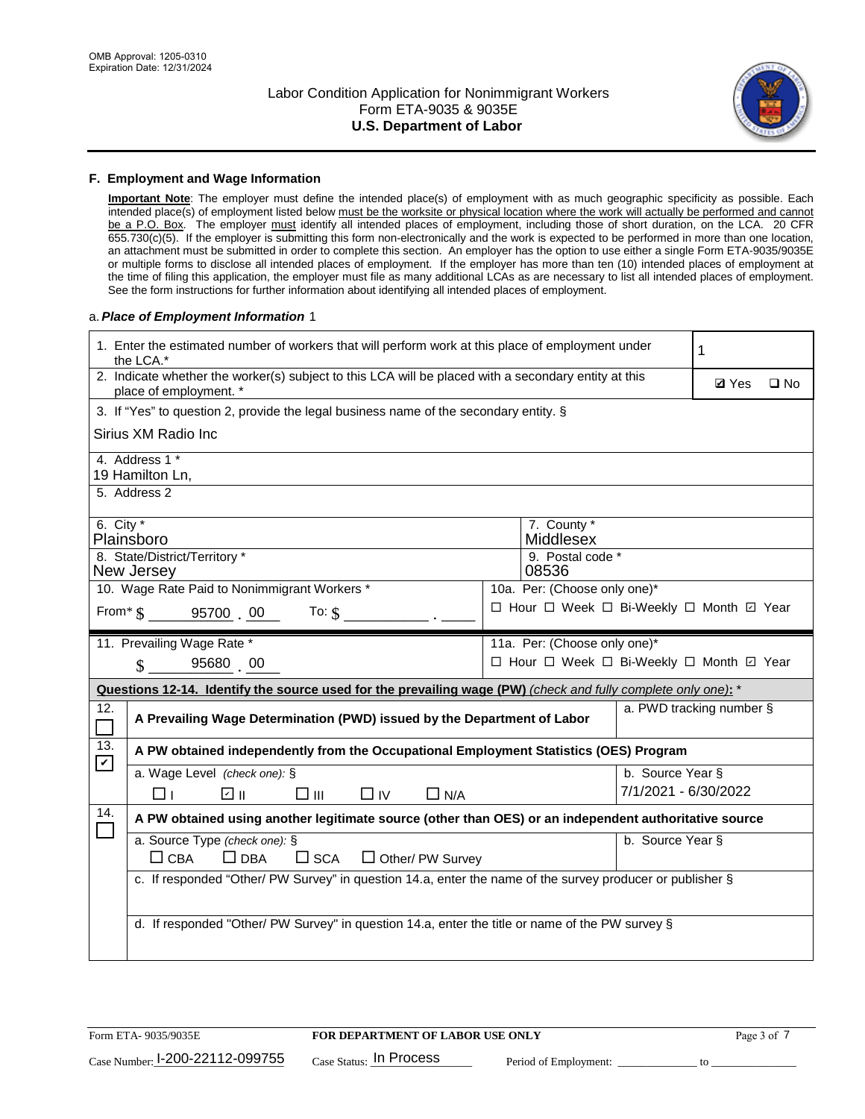

## **F. Employment and Wage Information**

**Important Note**: The employer must define the intended place(s) of employment with as much geographic specificity as possible. Each intended place(s) of employment listed below must be the worksite or physical location where the work will actually be performed and cannot be a P.O. Box. The employer must identify all intended places of employment, including those of short duration, on the LCA. 20 CFR 655.730(c)(5). If the employer is submitting this form non-electronically and the work is expected to be performed in more than one location, an attachment must be submitted in order to complete this section. An employer has the option to use either a single Form ETA-9035/9035E or multiple forms to disclose all intended places of employment. If the employer has more than ten (10) intended places of employment at the time of filing this application, the employer must file as many additional LCAs as are necessary to list all intended places of employment. See the form instructions for further information about identifying all intended places of employment.

## a.*Place of Employment Information* 1

|                                                                              | 1. Enter the estimated number of workers that will perform work at this place of employment under<br>the LCA.*                 |  | 1                                        |                      |                          |              |  |
|------------------------------------------------------------------------------|--------------------------------------------------------------------------------------------------------------------------------|--|------------------------------------------|----------------------|--------------------------|--------------|--|
|                                                                              | 2. Indicate whether the worker(s) subject to this LCA will be placed with a secondary entity at this<br>place of employment. * |  |                                          |                      | <b>Ø</b> Yes             | $\square$ No |  |
|                                                                              | 3. If "Yes" to question 2, provide the legal business name of the secondary entity. §                                          |  |                                          |                      |                          |              |  |
|                                                                              | Sirius XM Radio Inc                                                                                                            |  |                                          |                      |                          |              |  |
|                                                                              | 4. Address 1 *<br>19 Hamilton Ln,                                                                                              |  |                                          |                      |                          |              |  |
|                                                                              | 5. Address 2                                                                                                                   |  |                                          |                      |                          |              |  |
|                                                                              | 6. City $*$<br>7. County *<br>Middlesex<br>Plainsboro                                                                          |  |                                          |                      |                          |              |  |
| 8. State/District/Territory *<br>9. Postal code *<br>New Jersey<br>08536     |                                                                                                                                |  |                                          |                      |                          |              |  |
| 10. Wage Rate Paid to Nonimmigrant Workers *<br>10a. Per: (Choose only one)* |                                                                                                                                |  |                                          |                      |                          |              |  |
|                                                                              | □ Hour □ Week □ Bi-Weekly □ Month 回 Year<br>From * \$ 95700 00<br>To: $\hat{\mathbf{S}}$                                       |  |                                          |                      |                          |              |  |
|                                                                              | 11. Prevailing Wage Rate *<br>11a. Per: (Choose only one)*                                                                     |  |                                          |                      |                          |              |  |
|                                                                              | 95680 00<br>$\mathbf{\hat{S}}$                                                                                                 |  | □ Hour □ Week □ Bi-Weekly □ Month ☑ Year |                      |                          |              |  |
|                                                                              | Questions 12-14. Identify the source used for the prevailing wage (PW) (check and fully complete only one): *                  |  |                                          |                      |                          |              |  |
| 12.                                                                          | A Prevailing Wage Determination (PWD) issued by the Department of Labor                                                        |  |                                          |                      | a. PWD tracking number § |              |  |
| 13.                                                                          | A PW obtained independently from the Occupational Employment Statistics (OES) Program                                          |  |                                          |                      |                          |              |  |
| $\blacktriangledown$                                                         | a. Wage Level (check one): §                                                                                                   |  |                                          | b. Source Year §     |                          |              |  |
|                                                                              | ☑ ॥<br>$\square$ $\square$<br>$\Box$ IV<br>$\Box$ N/A<br>⊓⊥                                                                    |  |                                          | 7/1/2021 - 6/30/2022 |                          |              |  |
| 14.                                                                          | A PW obtained using another legitimate source (other than OES) or an independent authoritative source                          |  |                                          |                      |                          |              |  |
|                                                                              | a. Source Type (check one): §<br>$\Box$ CBA<br>$\Box$ DBA<br>$\square$ SCA<br>$\Box$ Other/ PW Survey                          |  |                                          | b. Source Year §     |                          |              |  |
|                                                                              | c. If responded "Other/ PW Survey" in question 14.a, enter the name of the survey producer or publisher §                      |  |                                          |                      |                          |              |  |
|                                                                              | d. If responded "Other/ PW Survey" in question 14.a, enter the title or name of the PW survey §                                |  |                                          |                      |                          |              |  |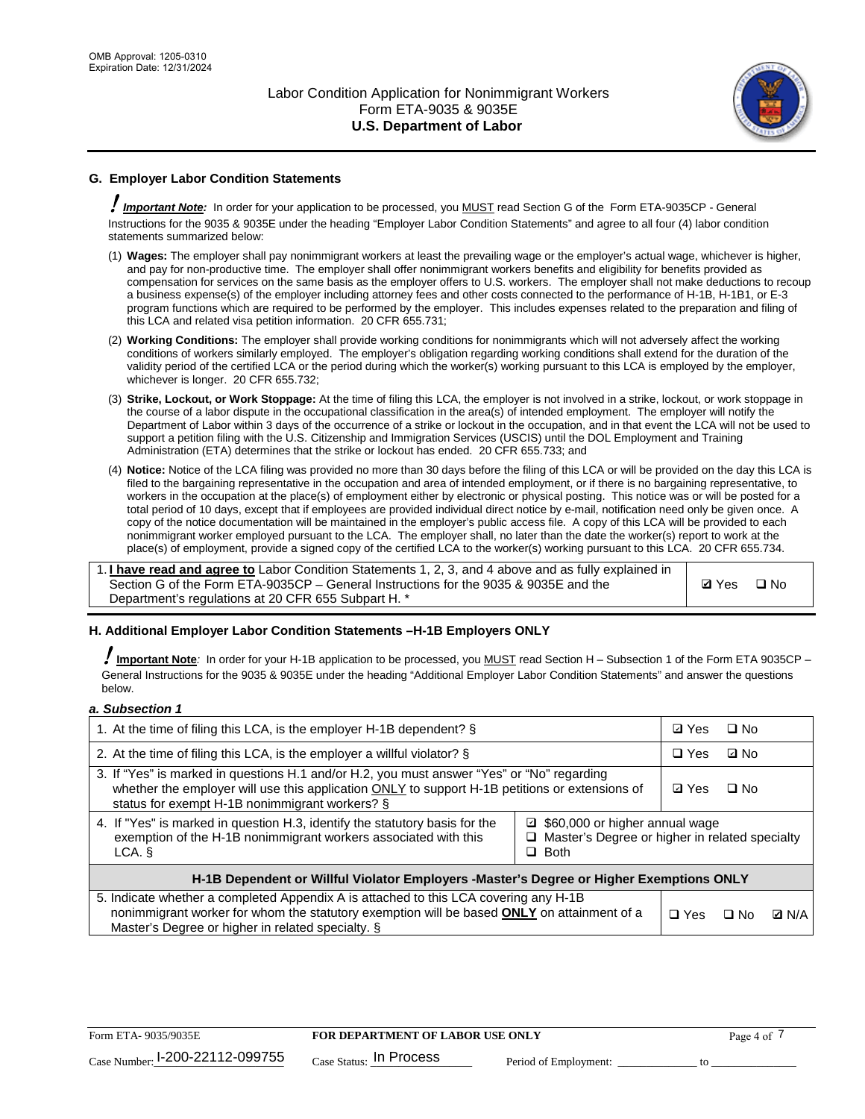

# **G. Employer Labor Condition Statements**

! *Important Note:* In order for your application to be processed, you MUST read Section G of the Form ETA-9035CP - General Instructions for the 9035 & 9035E under the heading "Employer Labor Condition Statements" and agree to all four (4) labor condition statements summarized below:

- (1) **Wages:** The employer shall pay nonimmigrant workers at least the prevailing wage or the employer's actual wage, whichever is higher, and pay for non-productive time. The employer shall offer nonimmigrant workers benefits and eligibility for benefits provided as compensation for services on the same basis as the employer offers to U.S. workers. The employer shall not make deductions to recoup a business expense(s) of the employer including attorney fees and other costs connected to the performance of H-1B, H-1B1, or E-3 program functions which are required to be performed by the employer. This includes expenses related to the preparation and filing of this LCA and related visa petition information. 20 CFR 655.731;
- (2) **Working Conditions:** The employer shall provide working conditions for nonimmigrants which will not adversely affect the working conditions of workers similarly employed. The employer's obligation regarding working conditions shall extend for the duration of the validity period of the certified LCA or the period during which the worker(s) working pursuant to this LCA is employed by the employer, whichever is longer. 20 CFR 655.732;
- (3) **Strike, Lockout, or Work Stoppage:** At the time of filing this LCA, the employer is not involved in a strike, lockout, or work stoppage in the course of a labor dispute in the occupational classification in the area(s) of intended employment. The employer will notify the Department of Labor within 3 days of the occurrence of a strike or lockout in the occupation, and in that event the LCA will not be used to support a petition filing with the U.S. Citizenship and Immigration Services (USCIS) until the DOL Employment and Training Administration (ETA) determines that the strike or lockout has ended. 20 CFR 655.733; and
- (4) **Notice:** Notice of the LCA filing was provided no more than 30 days before the filing of this LCA or will be provided on the day this LCA is filed to the bargaining representative in the occupation and area of intended employment, or if there is no bargaining representative, to workers in the occupation at the place(s) of employment either by electronic or physical posting. This notice was or will be posted for a total period of 10 days, except that if employees are provided individual direct notice by e-mail, notification need only be given once. A copy of the notice documentation will be maintained in the employer's public access file. A copy of this LCA will be provided to each nonimmigrant worker employed pursuant to the LCA. The employer shall, no later than the date the worker(s) report to work at the place(s) of employment, provide a signed copy of the certified LCA to the worker(s) working pursuant to this LCA. 20 CFR 655.734.

1. **I have read and agree to** Labor Condition Statements 1, 2, 3, and 4 above and as fully explained in Section G of the Form ETA-9035CP – General Instructions for the 9035 & 9035E and the Department's regulations at 20 CFR 655 Subpart H. \*

**Ø**Yes ロNo

## **H. Additional Employer Labor Condition Statements –H-1B Employers ONLY**

!**Important Note***:* In order for your H-1B application to be processed, you MUST read Section H – Subsection 1 of the Form ETA 9035CP – General Instructions for the 9035 & 9035E under the heading "Additional Employer Labor Condition Statements" and answer the questions below.

#### *a. Subsection 1*

| 1. At the time of filing this LCA, is the employer H-1B dependent? §                                                                                                                                                                                            |            | ⊡ Yes | $\square$ No |  |  |
|-----------------------------------------------------------------------------------------------------------------------------------------------------------------------------------------------------------------------------------------------------------------|------------|-------|--------------|--|--|
| 2. At the time of filing this LCA, is the employer a willful violator? $\S$                                                                                                                                                                                     |            |       | ⊡ No         |  |  |
| 3. If "Yes" is marked in questions H.1 and/or H.2, you must answer "Yes" or "No" regarding<br>whether the employer will use this application ONLY to support H-1B petitions or extensions of<br>status for exempt H-1B nonimmigrant workers? §                  |            |       | $\Box$ No    |  |  |
| 4. If "Yes" is marked in question H.3, identify the statutory basis for the<br>■ \$60,000 or higher annual wage<br>exemption of the H-1B nonimmigrant workers associated with this<br>□ Master's Degree or higher in related specialty<br>$\Box$ Both<br>LCA. § |            |       |              |  |  |
| H-1B Dependent or Willful Violator Employers -Master's Degree or Higher Exemptions ONLY                                                                                                                                                                         |            |       |              |  |  |
| 5. Indicate whether a completed Appendix A is attached to this LCA covering any H-1B<br>nonimmigrant worker for whom the statutory exemption will be based <b>ONLY</b> on attainment of a<br>Master's Degree or higher in related specialty. §                  | $\Box$ Yes | ⊡ No  | <b>Q</b> N/A |  |  |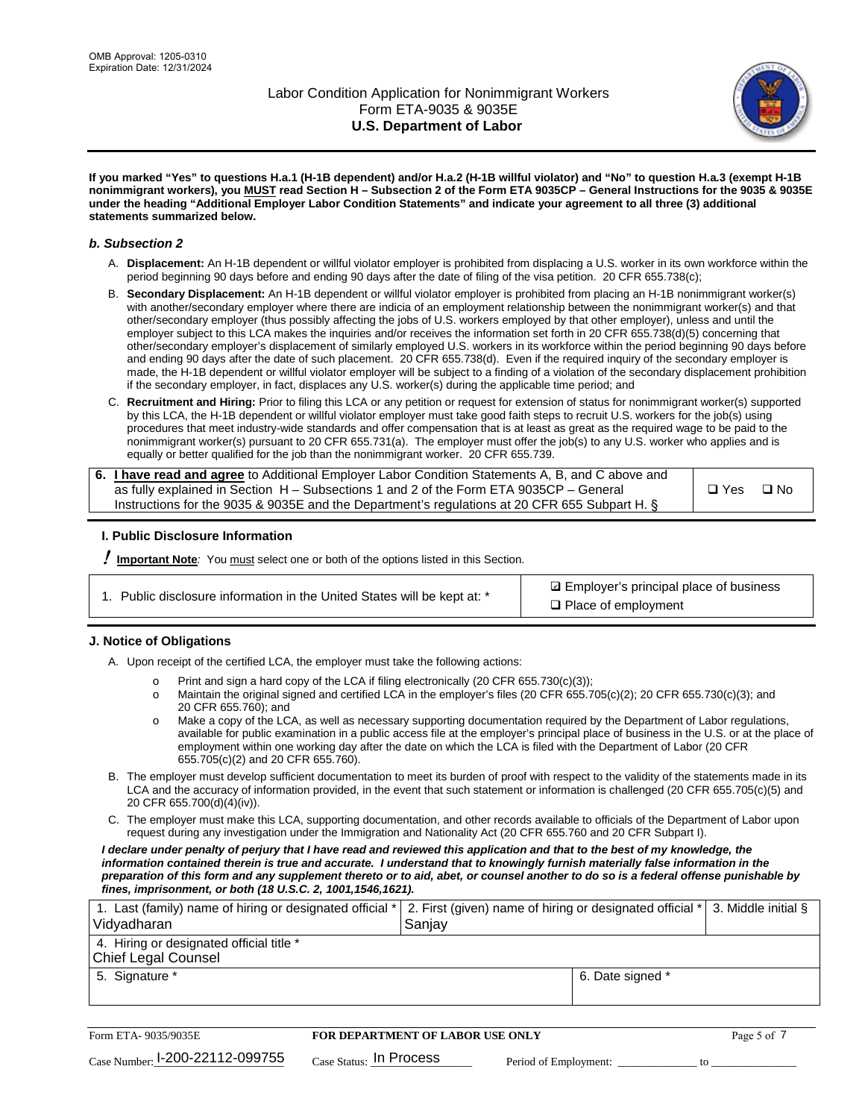

**If you marked "Yes" to questions H.a.1 (H-1B dependent) and/or H.a.2 (H-1B willful violator) and "No" to question H.a.3 (exempt H-1B nonimmigrant workers), you MUST read Section H – Subsection 2 of the Form ETA 9035CP – General Instructions for the 9035 & 9035E under the heading "Additional Employer Labor Condition Statements" and indicate your agreement to all three (3) additional statements summarized below.**

#### *b. Subsection 2*

- A. **Displacement:** An H-1B dependent or willful violator employer is prohibited from displacing a U.S. worker in its own workforce within the period beginning 90 days before and ending 90 days after the date of filing of the visa petition. 20 CFR 655.738(c);
- B. **Secondary Displacement:** An H-1B dependent or willful violator employer is prohibited from placing an H-1B nonimmigrant worker(s) with another/secondary employer where there are indicia of an employment relationship between the nonimmigrant worker(s) and that other/secondary employer (thus possibly affecting the jobs of U.S. workers employed by that other employer), unless and until the employer subject to this LCA makes the inquiries and/or receives the information set forth in 20 CFR 655.738(d)(5) concerning that other/secondary employer's displacement of similarly employed U.S. workers in its workforce within the period beginning 90 days before and ending 90 days after the date of such placement. 20 CFR 655.738(d). Even if the required inquiry of the secondary employer is made, the H-1B dependent or willful violator employer will be subject to a finding of a violation of the secondary displacement prohibition if the secondary employer, in fact, displaces any U.S. worker(s) during the applicable time period; and
- C. **Recruitment and Hiring:** Prior to filing this LCA or any petition or request for extension of status for nonimmigrant worker(s) supported by this LCA, the H-1B dependent or willful violator employer must take good faith steps to recruit U.S. workers for the job(s) using procedures that meet industry-wide standards and offer compensation that is at least as great as the required wage to be paid to the nonimmigrant worker(s) pursuant to 20 CFR 655.731(a). The employer must offer the job(s) to any U.S. worker who applies and is equally or better qualified for the job than the nonimmigrant worker. 20 CFR 655.739.

| 6. I have read and agree to Additional Employer Labor Condition Statements A, B, and C above and |       |           |
|--------------------------------------------------------------------------------------------------|-------|-----------|
| as fully explained in Section H – Subsections 1 and 2 of the Form ETA 9035CP – General           | □ Yes | $\Box$ No |
| Instructions for the 9035 & 9035E and the Department's regulations at 20 CFR 655 Subpart H. §    |       |           |

## **I. Public Disclosure Information**

! **Important Note***:* You must select one or both of the options listed in this Section.

| 1. Public disclosure information in the United States will be kept at: * |  |  |  |  |  |  |  |
|--------------------------------------------------------------------------|--|--|--|--|--|--|--|
|--------------------------------------------------------------------------|--|--|--|--|--|--|--|

**sqrt** Employer's principal place of business □ Place of employment

## **J. Notice of Obligations**

A. Upon receipt of the certified LCA, the employer must take the following actions:

- o Print and sign a hard copy of the LCA if filing electronically (20 CFR 655.730(c)(3));<br>
Maintain the original signed and certified LCA in the employer's files (20 CFR 655.7
- Maintain the original signed and certified LCA in the employer's files (20 CFR 655.705(c)(2); 20 CFR 655.730(c)(3); and 20 CFR 655.760); and
- o Make a copy of the LCA, as well as necessary supporting documentation required by the Department of Labor regulations, available for public examination in a public access file at the employer's principal place of business in the U.S. or at the place of employment within one working day after the date on which the LCA is filed with the Department of Labor (20 CFR 655.705(c)(2) and 20 CFR 655.760).
- B. The employer must develop sufficient documentation to meet its burden of proof with respect to the validity of the statements made in its LCA and the accuracy of information provided, in the event that such statement or information is challenged (20 CFR 655.705(c)(5) and 20 CFR 655.700(d)(4)(iv)).
- C. The employer must make this LCA, supporting documentation, and other records available to officials of the Department of Labor upon request during any investigation under the Immigration and Nationality Act (20 CFR 655.760 and 20 CFR Subpart I).

*I declare under penalty of perjury that I have read and reviewed this application and that to the best of my knowledge, the*  information contained therein is true and accurate. I understand that to knowingly furnish materially false information in the *preparation of this form and any supplement thereto or to aid, abet, or counsel another to do so is a federal offense punishable by fines, imprisonment, or both (18 U.S.C. 2, 1001,1546,1621).*

| 1. Last (family) name of hiring or designated official *   2. First (given) name of hiring or designated official *   3. Middle initial §<br>Vidyadharan | Saniav           |  |
|----------------------------------------------------------------------------------------------------------------------------------------------------------|------------------|--|
| 4. Hiring or designated official title *<br>Chief Legal Counsel                                                                                          |                  |  |
| 5. Signature *                                                                                                                                           | 6. Date signed * |  |

| Form ETA-9035/9035E                         | <b>FOR DEPARTMENT OF LABOR USE ONLY</b> | Page 5 of 7           |  |
|---------------------------------------------|-----------------------------------------|-----------------------|--|
| $_{\text{Case Number:}}$ I-200-22112-099755 | $_{\text{Case Status:}}$ In Process     | Period of Employment: |  |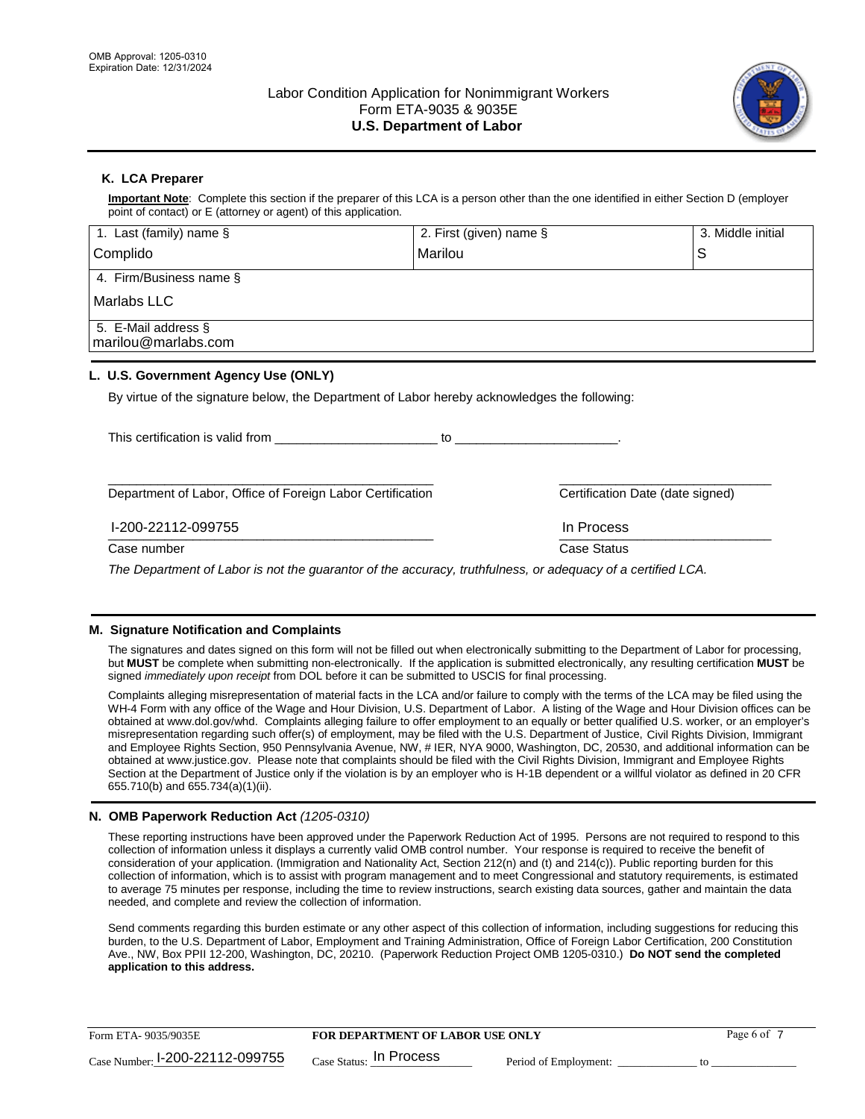

# **K. LCA Preparer**

**Important Note**: Complete this section if the preparer of this LCA is a person other than the one identified in either Section D (employer point of contact) or E (attorney or agent) of this application.

| 1. Last (family) name $\S$                                                                   | 2. First (given) name §          | 3. Middle initial |
|----------------------------------------------------------------------------------------------|----------------------------------|-------------------|
| Complido                                                                                     | Marilou                          | S                 |
| 4. Firm/Business name §                                                                      |                                  |                   |
| <b>Marlabs LLC</b>                                                                           |                                  |                   |
| 5. E-Mail address §<br>marilou@marlabs.com                                                   |                                  |                   |
| L. U.S. Government Agency Use (ONLY)                                                         |                                  |                   |
| By virtue of the signature below, the Department of Labor hereby acknowledges the following: |                                  |                   |
| This certification is valid from                                                             | to                               |                   |
| Department of Labor, Office of Foreign Labor Certification                                   | Certification Date (date signed) |                   |
| I-200-22112-099755                                                                           | In Process                       |                   |
| Case number                                                                                  | <b>Case Status</b>               |                   |

*The Department of Labor is not the guarantor of the accuracy, truthfulness, or adequacy of a certified LCA.*

#### **M. Signature Notification and Complaints**

The signatures and dates signed on this form will not be filled out when electronically submitting to the Department of Labor for processing, but **MUST** be complete when submitting non-electronically. If the application is submitted electronically, any resulting certification **MUST** be signed *immediately upon receipt* from DOL before it can be submitted to USCIS for final processing.

Complaints alleging misrepresentation of material facts in the LCA and/or failure to comply with the terms of the LCA may be filed using the WH-4 Form with any office of the Wage and Hour Division, U.S. Department of Labor. A listing of the Wage and Hour Division offices can be obtained at www.dol.gov/whd. Complaints alleging failure to offer employment to an equally or better qualified U.S. worker, or an employer's misrepresentation regarding such offer(s) of employment, may be filed with the U.S. Department of Justice, Civil Rights Division, Immigrant and Employee Rights Section, 950 Pennsylvania Avenue, NW, # IER, NYA 9000, Washington, DC, 20530, and additional information can be obtained at www.justice.gov. Please note that complaints should be filed with the Civil Rights Division, Immigrant and Employee Rights Section at the Department of Justice only if the violation is by an employer who is H-1B dependent or a willful violator as defined in 20 CFR 655.710(b) and 655.734(a)(1)(ii).

## **N. OMB Paperwork Reduction Act** *(1205-0310)*

These reporting instructions have been approved under the Paperwork Reduction Act of 1995. Persons are not required to respond to this collection of information unless it displays a currently valid OMB control number. Your response is required to receive the benefit of consideration of your application. (Immigration and Nationality Act, Section 212(n) and (t) and 214(c)). Public reporting burden for this collection of information, which is to assist with program management and to meet Congressional and statutory requirements, is estimated to average 75 minutes per response, including the time to review instructions, search existing data sources, gather and maintain the data needed, and complete and review the collection of information.

Send comments regarding this burden estimate or any other aspect of this collection of information, including suggestions for reducing this burden, to the U.S. Department of Labor, Employment and Training Administration, Office of Foreign Labor Certification, 200 Constitution Ave., NW, Box PPII 12-200, Washington, DC, 20210. (Paperwork Reduction Project OMB 1205-0310.) **Do NOT send the completed application to this address.**

| Form ETA-9035/9035E             | <b>FOR DEPARTMENT OF LABOR USE ONLY</b> |                       | Page 6 of |
|---------------------------------|-----------------------------------------|-----------------------|-----------|
| Case Number: 1-200-22112-099755 | $_{\text{Case Status:}}$ In Process     | Period of Employment: |           |